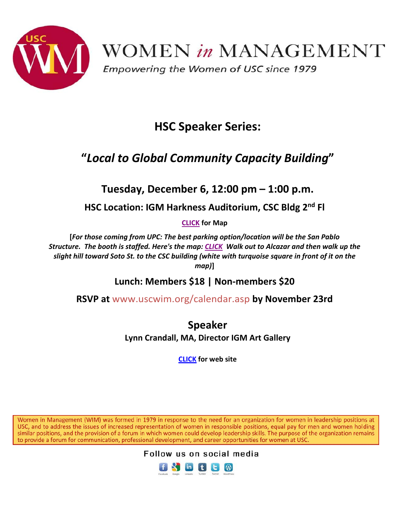

## **HSC Speaker Series:**

## **"***Local to Global Community Capacity Building***"**

**Tuesday, December 6, 12:00 pm – 1:00 p.m.**

**HSC Location: IGM Harkness Auditorium, CSC Bldg 2nd Fl**

**[CLICK](http://keck.usc.edu/institute-genetic-medicine/contact-us/) for Map**

**[***For those coming from UPC: The best parking option/location will be the San Pablo Structure. The booth is staffed. Here's the map: [CLICK](http://web-app.usc.edu/maps/hscmap.pdf) Walk out to Alcazar and then walk up the slight hill toward Soto St. to the CSC building (white with turquoise square in front of it on the map)***]**

**Lunch: Members \$18 | Non-members \$20**

**RSVP at** [www.uscwim.org/calendar.asp](http://www.uscwim.org/calendar.asp) **by November 23rd**

**Speaker Lynn Crandall, MA, Director IGM Art Gallery**

**[CLICK](http://keck.usc.edu/institute-genetic-medicine/about-igm/art-gallery/) for web site**

Women in Management (WIM) was formed in 1979 in response to the need for an organization for women in leadership positions at USC, and to address the issues of increased representation of women in responsible positions, equal pay for men and women holding similar positions, and the provision of a forum in which women could develop leadership skills. The purpose of the organization remains to provide a forum for communication, professional development, and career opportunities for women at USC.



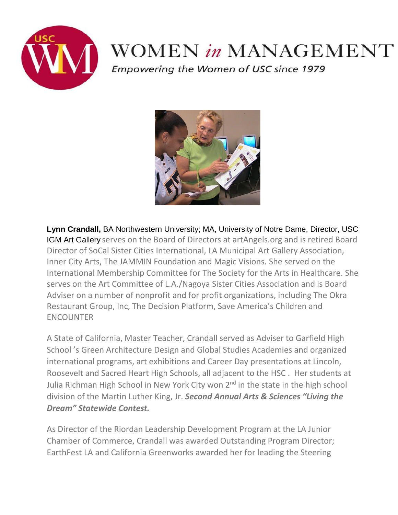

## WOMEN in MANAGEMENT

Empowering the Women of USC since 1979



**Lynn Crandall,** BA Northwestern University; MA, University of Notre Dame, Director, USC IGM Art Gallery serves on the Board of Directors at artAngels.org and is retired Board Director of SoCal Sister Cities International, LA Municipal Art Gallery Association, Inner City Arts, The JAMMIN Foundation and Magic Visions. She served on the International Membership Committee for The Society for the Arts in Healthcare. She serves on the Art Committee of L.A./Nagoya Sister Cities Association and is Board Adviser on a number of nonprofit and for profit organizations, including The Okra Restaurant Group, Inc, The Decision Platform, Save America's Children and ENCOUNTER

A State of California, Master Teacher, Crandall served as Adviser to Garfield High School 's Green Architecture Design and Global Studies Academies and organized international programs, art exhibitions and Career Day presentations at Lincoln, Roosevelt and Sacred Heart High Schools, all adjacent to the HSC . Her students at Julia Richman High School in New York City won 2<sup>nd</sup> in the state in the high school division of the Martin Luther King, Jr. *Second Annual Arts & Sciences "Living the Dream" Statewide Contest.*

As Director of the Riordan Leadership Development Program at the LA Junior Chamber of Commerce, Crandall was awarded Outstanding Program Director; EarthFest LA and California Greenworks awarded her for leading the Steering